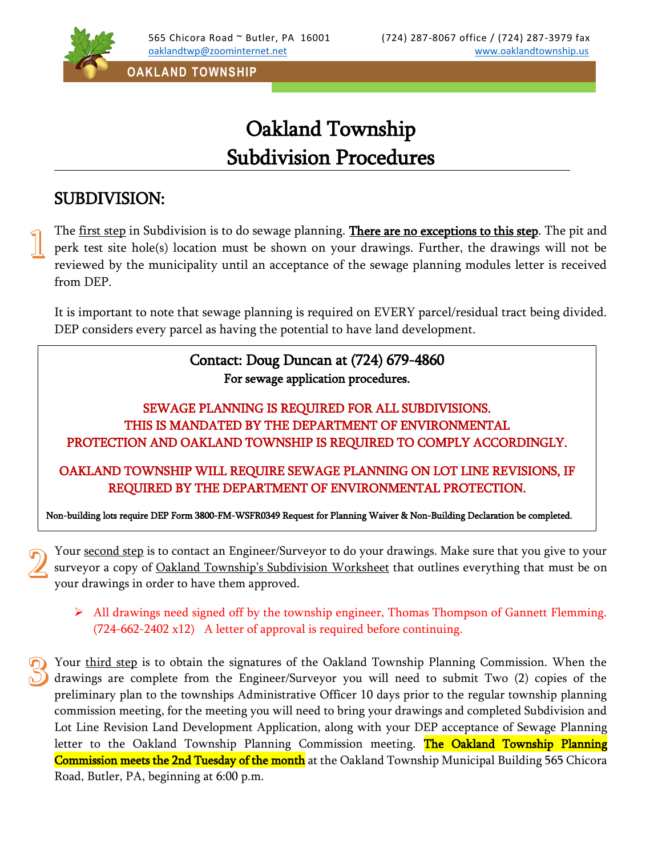

**OAKLAND TOWNSHIP**

## Oakland Township Subdivision Procedures

## SUBDIVISION:

The first step in Subdivision is to do sewage planning. There are no exceptions to this step. The pit and perk test site hole(s) location must be shown on your drawings. Further, the drawings will not be reviewed by the municipality until an acceptance of the sewage planning modules letter is received from DEP.

It is important to note that sewage planning is required on EVERY parcel/residual tract being divided. DEP considers every parcel as having the potential to have land development.

## Contact: Doug Duncan at (724) 679-4860 For sewage application procedures.

## SEWAGE PLANNING IS REQUIRED FOR ALL SUBDIVISIONS. THIS IS MANDATED BY THE DEPARTMENT OF ENVIRONMENTAL PROTECTION AND OAKLAND TOWNSHIP IS REQUIRED TO COMPLY ACCORDINGLY.

OAKLAND TOWNSHIP WILL REQUIRE SEWAGE PLANNING ON LOT LINE REVISIONS, IF REQUIRED BY THE DEPARTMENT OF ENVIRONMENTAL PROTECTION.

Non-building lots require DEP Form 3800-FM-WSFR0349 Request for Planning Waiver & Non-Building Declaration be completed.

Your second step is to contact an Engineer/Surveyor to do your drawings. Make sure that you give to your surveyor a copy of Oakland Township's Subdivision Worksheet that outlines everything that must be on your drawings in order to have them approved.

 All drawings need signed off by the township engineer, Thomas Thompson of Gannett Flemming. (724-662-2402 x12) A letter of approval is required before continuing.

Your third step is to obtain the signatures of the Oakland Township Planning Commission. When the drawings are complete from the Engineer/Surveyor you will need to submit Two (2) copies of the preliminary plan to the townships Administrative Officer 10 days prior to the regular township planning commission meeting, for the meeting you will need to bring your drawings and completed Subdivision and Lot Line Revision Land Development Application, along with your DEP acceptance of Sewage Planning letter to the Oakland Township Planning Commission meeting. The Oakland Township Planning Commission meets the 2nd Tuesday of the month at the Oakland Township Municipal Building 565 Chicora Road, Butler, PA, beginning at 6:00 p.m.